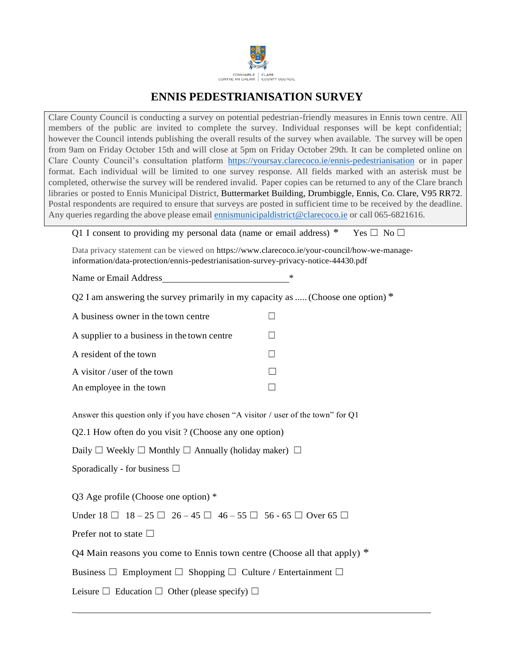

## **ENNIS PEDESTRIANISATION SURVEY**

Clare County Council is conducting a survey on potential pedestrian-friendly measures in Ennis town centre. All members of the public are invited to complete the survey. Individual responses will be kept confidential; however the Council intends publishing the overall results of the survey when available. The survey will be open from 9am on Friday October 15th and will close at 5pm on Friday October 29th. It can be completed online on Clare County Council's consultation platform https://yoursay.clarecoco.ie/ennis-pedestrianisation or in paper format. Each individual will be limited to one survey response. All fields marked with an asterisk must be completed, otherwise the survey will be rendered invalid. Paper copies can be returned to any of the Clare branch libraries or posted to Ennis Municipal District, Buttermarket Building, Drumbiggle, Ennis, Co. Clare, V95 RR72. Postal respondents are required to ensure that surveys are posted in sufficient time to be received by the deadline. Any queries regarding the above please email [ennismunicipaldistrict@clarecoco.ie](mailto:ennismunicipaldistrict@clarecoco.ie) or call 065-6821616.

Q1 I consent to providing my personal data (name or email address) \* Yes  $\Box$  No  $\Box$ 

Data privacy statement can be viewed on https:/[/www.clarecoco.ie/your-council/how-we-manage](http://www.clarecoco.ie/your-council/how-we-manage-)information/data-protection/ennis-pedestrianisation-survey-privacy-notice-44430.pdf

Name or Email Address \*

Q2 I am answering the survey primarily in my capacity as ..... (Choose one option)  $*$ 

| A business owner in the town centre         |  |
|---------------------------------------------|--|
| A supplier to a business in the town centre |  |
| A resident of the town                      |  |
| A visitor / user of the town                |  |
| An employee in the town                     |  |

Answer this question only if you have chosen "A visitor / user of the town" for Q1

Q2.1 How often do you visit ? (Choose any one option)

Daily  $\Box$  Weekly  $\Box$  Monthly  $\Box$  Annually (holiday maker)  $\Box$ 

Sporadically - for business  $\Box$ 

Q3 Age profile (Choose one option) \*

Under  $18 \Box 18 - 25 \Box 26 - 45 \Box 46 - 55 \Box 56 - 65 \Box$  Over 65 □

Prefer not to state  $\Box$ 

\_

O4 Main reasons you come to Ennis town centre (Choose all that apply)  $*$ 

Business  $\Box$  Employment  $\Box$  Shopping  $\Box$  Culture / Entertainment  $\Box$ 

Leisure  $\Box$  Education  $\Box$  Other (please specify)  $\Box$